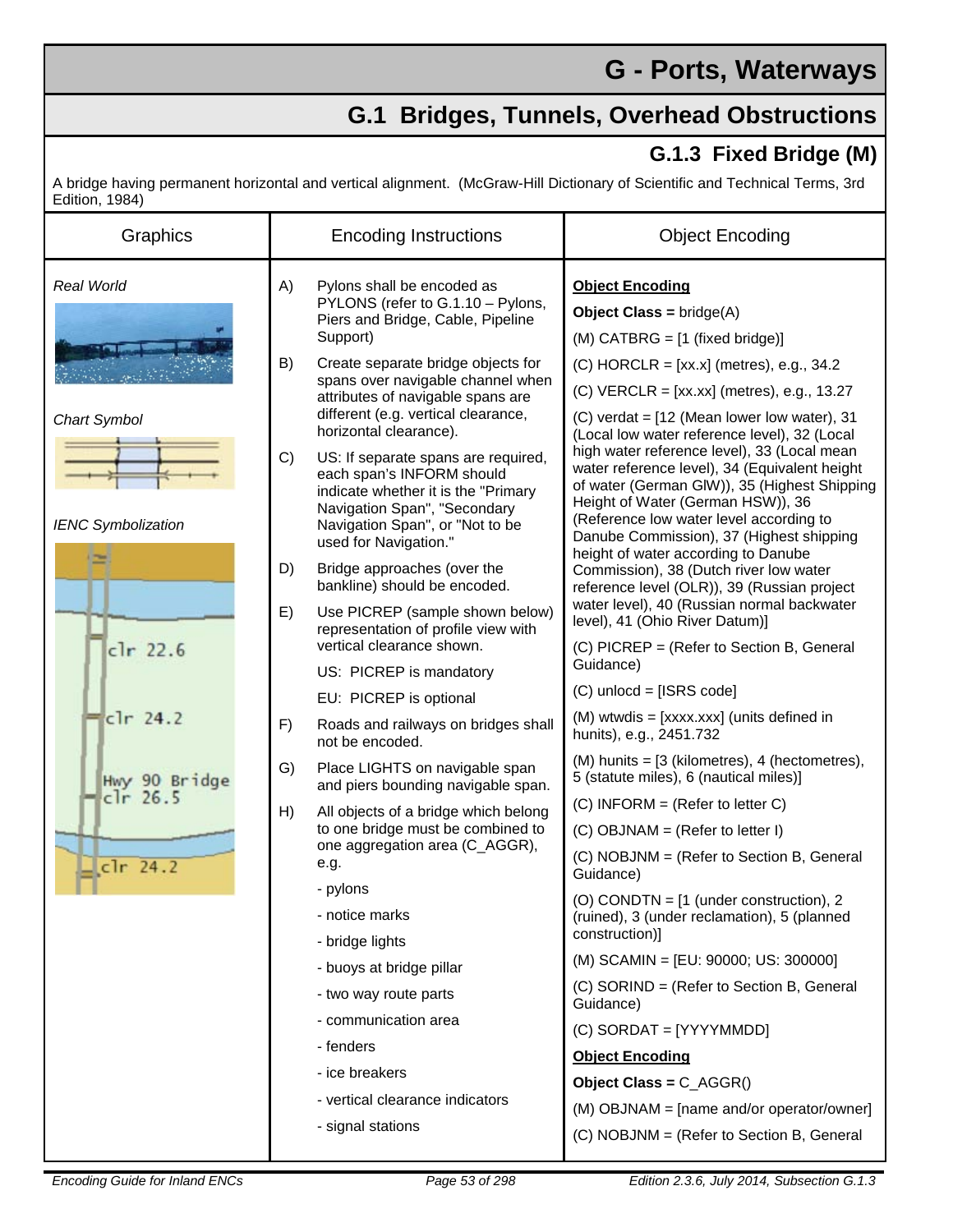## **G - Ports, Waterways**

## **G.1 Bridges, Tunnels, Overhead Obstructions**

## **G.1.3 Fixed Bridge (M)**

A bridge having permanent horizontal and vertical alignment. (McGraw-Hill Dictionary of Scientific and Technical Terms, 3rd Edition, 1984)

| Graphics                    | <b>Encoding Instructions</b>                                                                                                                                                                              | <b>Object Encoding</b>                                                                                                                                                                                                                                                   |
|-----------------------------|-----------------------------------------------------------------------------------------------------------------------------------------------------------------------------------------------------------|--------------------------------------------------------------------------------------------------------------------------------------------------------------------------------------------------------------------------------------------------------------------------|
| Real World                  | A)<br>Pylons shall be encoded as<br>PYLONS (refer to G.1.10 - Pylons,<br>Piers and Bridge, Cable, Pipeline<br>Support)                                                                                    | <b>Object Encoding</b><br><b>Object Class = bridge(A)</b><br>$(M)$ CATBRG = $[1 \text{ (fixed bridge)}]$                                                                                                                                                                 |
| <b>Chart Symbol</b>         | B)<br>Create separate bridge objects for<br>spans over navigable channel when<br>attributes of navigable spans are<br>different (e.g. vertical clearance,<br>horizontal clearance).                       | $(C)$ HORCLR = [xx.x] (metres), e.g., 34.2<br>(C) VERCLR = $[xx, xx]$ (metres), e.g., 13.27<br>$(C)$ verdat = $[12$ (Mean lower low water), 31<br>(Local low water reference level), 32 (Local                                                                           |
| <b>IENC Symbolization</b>   | C)<br>US: If separate spans are required,<br>each span's INFORM should<br>indicate whether it is the "Primary<br>Navigation Span", "Secondary<br>Navigation Span", or "Not to be<br>used for Navigation." | high water reference level), 33 (Local mean<br>water reference level), 34 (Equivalent height<br>of water (German GIW)), 35 (Highest Shipping<br>Height of Water (German HSW)), 36<br>(Reference low water level according to<br>Danube Commission), 37 (Highest shipping |
| $clr$ 22.6                  | D)<br>Bridge approaches (over the<br>bankline) should be encoded.<br>E)<br>Use PICREP (sample shown below)                                                                                                | height of water according to Danube<br>Commission), 38 (Dutch river low water<br>reference level (OLR)), 39 (Russian project<br>water level), 40 (Russian normal backwater<br>level), 41 (Ohio River Datum)]                                                             |
|                             | representation of profile view with<br>vertical clearance shown.<br>US: PICREP is mandatory<br>EU: PICREP is optional                                                                                     | (C) PICREP = (Refer to Section B, General<br>Guidance)<br>$(C)$ unlocd = [ISRS code]                                                                                                                                                                                     |
| $clr$ 24.2                  | Roads and railways on bridges shall<br>F)<br>not be encoded.                                                                                                                                              | (M) wtwdis = [xxxx.xxx] (units defined in<br>hunits), e.g., 2451.732                                                                                                                                                                                                     |
| Hwy 90 Bridge<br>$clr$ 26.5 | G)<br>Place LIGHTS on navigable span<br>and piers bounding navigable span.                                                                                                                                | (M) hunits = [3 (kilometres), 4 (hectometres),<br>5 (statute miles), 6 (nautical miles)]                                                                                                                                                                                 |
| $clr$ 24.2                  | H)<br>All objects of a bridge which belong<br>to one bridge must be combined to                                                                                                                           | $(C)$ INFORM = (Refer to letter C)<br>$(C)$ OBJNAM = (Refer to letter I)                                                                                                                                                                                                 |
|                             | one aggregation area (C_AGGR),<br>e.g.<br>- pylons<br>- notice marks                                                                                                                                      | (C) NOBJNM = (Refer to Section B, General<br>Guidance)<br>(O) CONDTN = $[1$ (under construction), 2<br>(ruined), 3 (under reclamation), 5 (planned<br>construction)]                                                                                                     |
|                             | - bridge lights<br>- buoys at bridge pillar                                                                                                                                                               | (M) SCAMIN = [EU: 90000; US: 300000]                                                                                                                                                                                                                                     |
|                             | - two way route parts                                                                                                                                                                                     | (C) SORIND = (Refer to Section B, General<br>Guidance)                                                                                                                                                                                                                   |
|                             | - communication area<br>- fenders                                                                                                                                                                         | (C) SORDAT = [YYYYMMDD]                                                                                                                                                                                                                                                  |
|                             | - ice breakers                                                                                                                                                                                            | <b>Object Encoding</b>                                                                                                                                                                                                                                                   |
|                             | - vertical clearance indicators<br>- signal stations                                                                                                                                                      | Object Class = $C_AGGR()$<br>(M) OBJNAM = [name and/or operator/owner]<br>(C) NOBJNM = (Refer to Section B, General                                                                                                                                                      |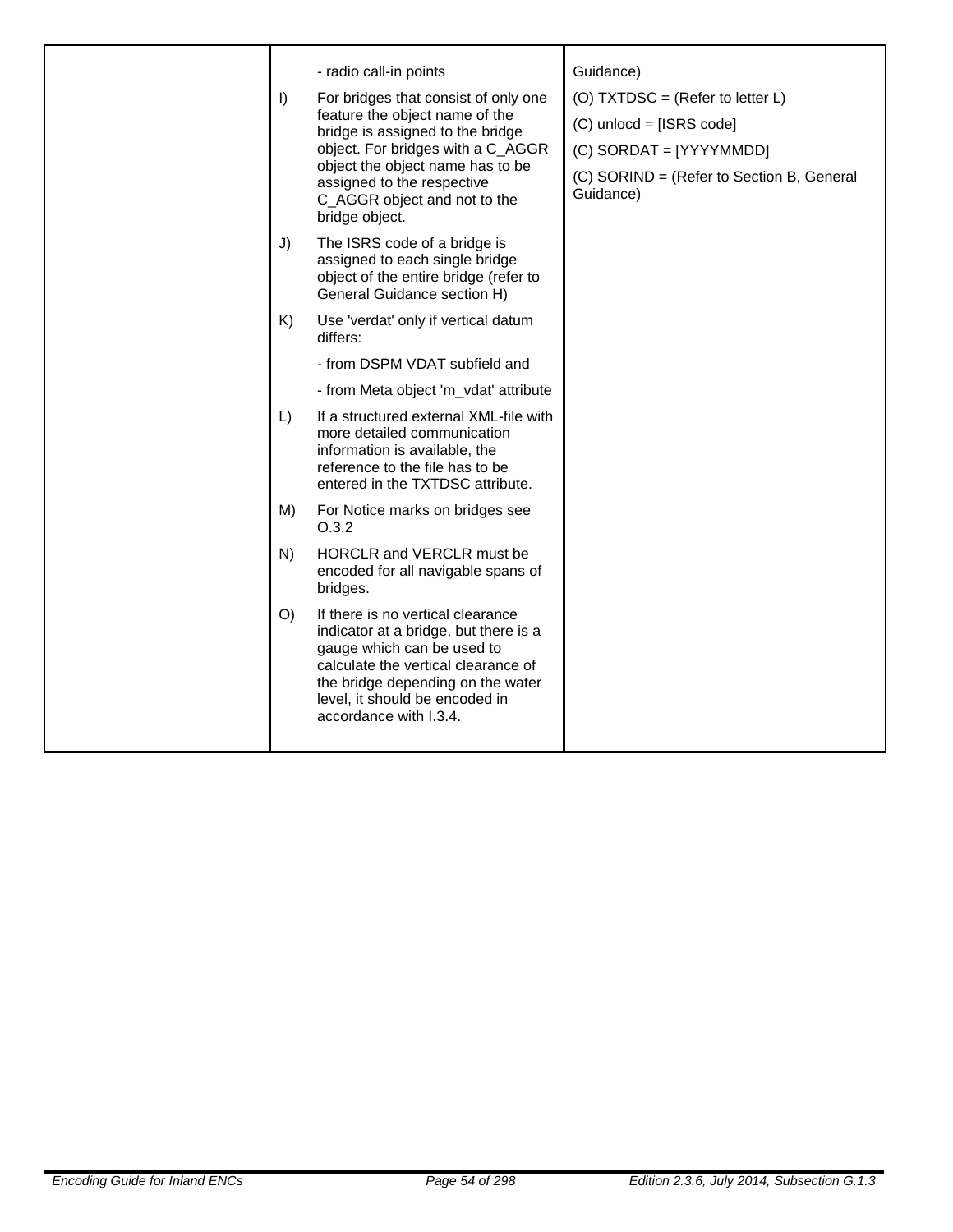| $\vert$ )<br>J)<br>K)<br>$\lfloor$ | - radio call-in points<br>For bridges that consist of only one<br>feature the object name of the<br>bridge is assigned to the bridge<br>object. For bridges with a C_AGGR<br>object the object name has to be<br>assigned to the respective<br>C_AGGR object and not to the<br>bridge object.<br>The ISRS code of a bridge is<br>assigned to each single bridge<br>object of the entire bridge (refer to<br>General Guidance section H)<br>Use 'verdat' only if vertical datum<br>differs:<br>- from DSPM VDAT subfield and<br>- from Meta object 'm_vdat' attribute<br>If a structured external XML-file with<br>more detailed communication<br>information is available, the<br>reference to the file has to be | Guidance)<br>(O) TXTDSC = (Refer to letter $L$ )<br>$(C)$ unlocd = [ISRS code]<br>(C) SORDAT = [YYYYMMDD]<br>(C) SORIND = (Refer to Section B, General<br>Guidance) |
|------------------------------------|-------------------------------------------------------------------------------------------------------------------------------------------------------------------------------------------------------------------------------------------------------------------------------------------------------------------------------------------------------------------------------------------------------------------------------------------------------------------------------------------------------------------------------------------------------------------------------------------------------------------------------------------------------------------------------------------------------------------|---------------------------------------------------------------------------------------------------------------------------------------------------------------------|
| M)                                 | entered in the TXTDSC attribute.<br>For Notice marks on bridges see                                                                                                                                                                                                                                                                                                                                                                                                                                                                                                                                                                                                                                               |                                                                                                                                                                     |
| N)                                 | O.3.2<br>HORCLR and VERCLR must be<br>encoded for all navigable spans of                                                                                                                                                                                                                                                                                                                                                                                                                                                                                                                                                                                                                                          |                                                                                                                                                                     |
| O()                                | bridges.<br>If there is no vertical clearance<br>indicator at a bridge, but there is a<br>gauge which can be used to<br>calculate the vertical clearance of<br>the bridge depending on the water<br>level, it should be encoded in<br>accordance with I.3.4.                                                                                                                                                                                                                                                                                                                                                                                                                                                      |                                                                                                                                                                     |